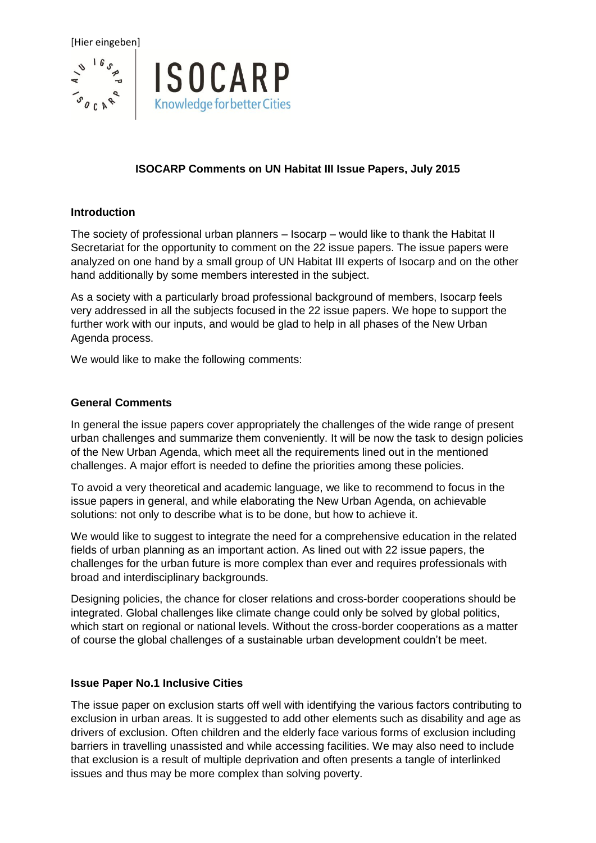

# **ISOCARP Comments on UN Habitat III Issue Papers, July 2015**

#### **Introduction**

The society of professional urban planners – Isocarp – would like to thank the Habitat II Secretariat for the opportunity to comment on the 22 issue papers. The issue papers were analyzed on one hand by a small group of UN Habitat III experts of Isocarp and on the other hand additionally by some members interested in the subject.

As a society with a particularly broad professional background of members, Isocarp feels very addressed in all the subjects focused in the 22 issue papers. We hope to support the further work with our inputs, and would be glad to help in all phases of the New Urban Agenda process.

We would like to make the following comments:

# **General Comments**

In general the issue papers cover appropriately the challenges of the wide range of present urban challenges and summarize them conveniently. It will be now the task to design policies of the New Urban Agenda, which meet all the requirements lined out in the mentioned challenges. A major effort is needed to define the priorities among these policies.

To avoid a very theoretical and academic language, we like to recommend to focus in the issue papers in general, and while elaborating the New Urban Agenda, on achievable solutions: not only to describe what is to be done, but how to achieve it.

We would like to suggest to integrate the need for a comprehensive education in the related fields of urban planning as an important action. As lined out with 22 issue papers, the challenges for the urban future is more complex than ever and requires professionals with broad and interdisciplinary backgrounds.

Designing policies, the chance for closer relations and cross-border cooperations should be integrated. Global challenges like climate change could only be solved by global politics, which start on regional or national levels. Without the cross-border cooperations as a matter of course the global challenges of a sustainable urban development couldn't be meet.

#### **Issue Paper No.1 Inclusive Cities**

The issue paper on exclusion starts off well with identifying the various factors contributing to exclusion in urban areas. It is suggested to add other elements such as disability and age as drivers of exclusion. Often children and the elderly face various forms of exclusion including barriers in travelling unassisted and while accessing facilities. We may also need to include that exclusion is a result of multiple deprivation and often presents a tangle of interlinked issues and thus may be more complex than solving poverty.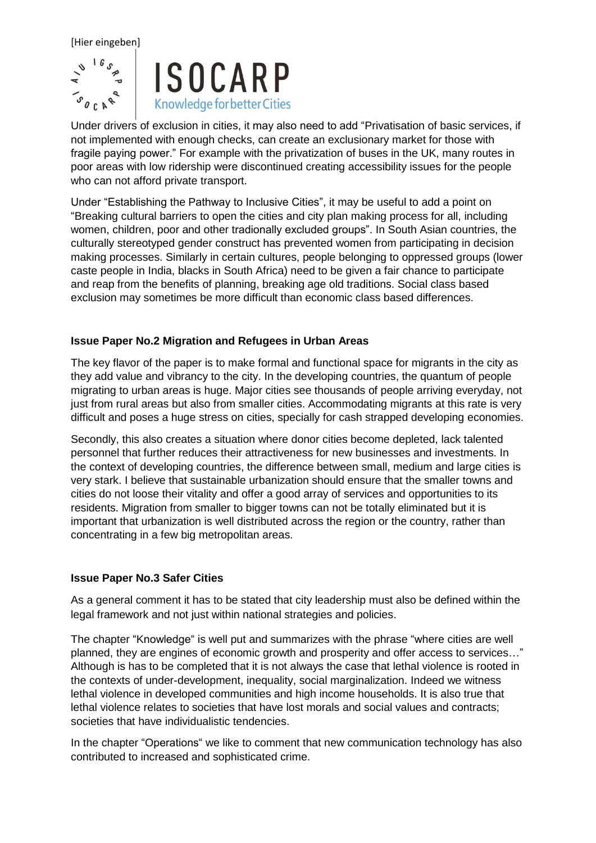

Under drivers of exclusion in cities, it may also need to add "Privatisation of basic services, if not implemented with enough checks, can create an exclusionary market for those with fragile paying power." For example with the privatization of buses in the UK, many routes in poor areas with low ridership were discontinued creating accessibility issues for the people who can not afford private transport.

Under "Establishing the Pathway to Inclusive Cities", it may be useful to add a point on "Breaking cultural barriers to open the cities and city plan making process for all, including women, children, poor and other tradionally excluded groups". In South Asian countries, the culturally stereotyped gender construct has prevented women from participating in decision making processes. Similarly in certain cultures, people belonging to oppressed groups (lower caste people in India, blacks in South Africa) need to be given a fair chance to participate and reap from the benefits of planning, breaking age old traditions. Social class based exclusion may sometimes be more difficult than economic class based differences.

## **Issue Paper No.2 Migration and Refugees in Urban Areas**

The key flavor of the paper is to make formal and functional space for migrants in the city as they add value and vibrancy to the city. In the developing countries, the quantum of people migrating to urban areas is huge. Major cities see thousands of people arriving everyday, not just from rural areas but also from smaller cities. Accommodating migrants at this rate is very difficult and poses a huge stress on cities, specially for cash strapped developing economies.

Secondly, this also creates a situation where donor cities become depleted, lack talented personnel that further reduces their attractiveness for new businesses and investments. In the context of developing countries, the difference between small, medium and large cities is very stark. I believe that sustainable urbanization should ensure that the smaller towns and cities do not loose their vitality and offer a good array of services and opportunities to its residents. Migration from smaller to bigger towns can not be totally eliminated but it is important that urbanization is well distributed across the region or the country, rather than concentrating in a few big metropolitan areas.

#### **Issue Paper No.3 Safer Cities**

As a general comment it has to be stated that city leadership must also be defined within the legal framework and not just within national strategies and policies.

The chapter "Knowledge" is well put and summarizes with the phrase "where cities are well planned, they are engines of economic growth and prosperity and offer access to services…" Although is has to be completed that it is not always the case that lethal violence is rooted in the contexts of under-development, inequality, social marginalization. Indeed we witness lethal violence in developed communities and high income households. It is also true that lethal violence relates to societies that have lost morals and social values and contracts; societies that have individualistic tendencies.

In the chapter "Operations" we like to comment that new communication technology has also contributed to increased and sophisticated crime.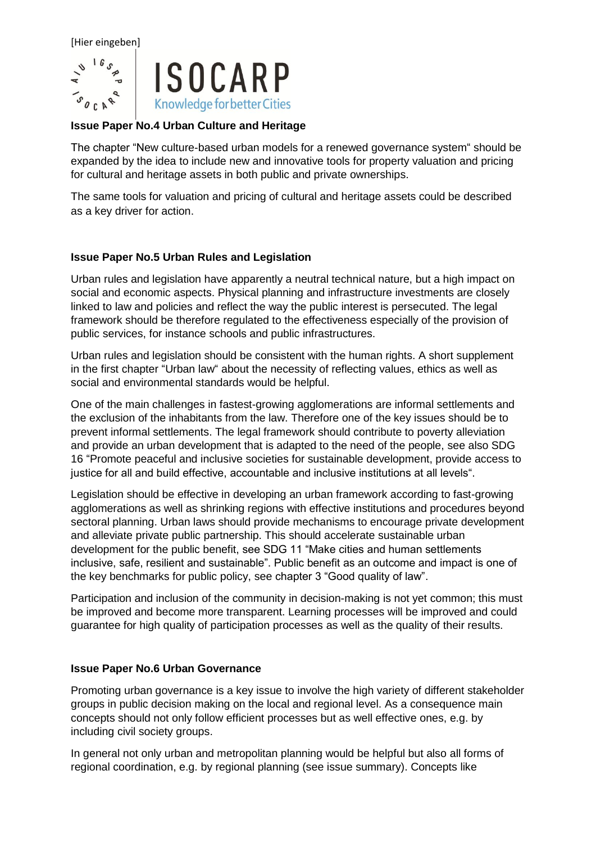

#### **Issue Paper No.4 Urban Culture and Heritage**

The chapter "New culture-based urban models for a renewed governance system" should be expanded by the idea to include new and innovative tools for property valuation and pricing for cultural and heritage assets in both public and private ownerships.

The same tools for valuation and pricing of cultural and heritage assets could be described as a key driver for action.

## **Issue Paper No.5 Urban Rules and Legislation**

Urban rules and legislation have apparently a neutral technical nature, but a high impact on social and economic aspects. Physical planning and infrastructure investments are closely linked to law and policies and reflect the way the public interest is persecuted. The legal framework should be therefore regulated to the effectiveness especially of the provision of public services, for instance schools and public infrastructures.

Urban rules and legislation should be consistent with the human rights. A short supplement in the first chapter "Urban law" about the necessity of reflecting values, ethics as well as social and environmental standards would be helpful.

One of the main challenges in fastest-growing agglomerations are informal settlements and the exclusion of the inhabitants from the law. Therefore one of the key issues should be to prevent informal settlements. The legal framework should contribute to poverty alleviation and provide an urban development that is adapted to the need of the people, see also SDG 16 "Promote peaceful and inclusive societies for sustainable development, provide access to justice for all and build effective, accountable and inclusive institutions at all levels".

Legislation should be effective in developing an urban framework according to fast-growing agglomerations as well as shrinking regions with effective institutions and procedures beyond sectoral planning. Urban laws should provide mechanisms to encourage private development and alleviate private public partnership. This should accelerate sustainable urban development for the public benefit, see SDG 11 "Make cities and human settlements inclusive, safe, resilient and sustainable". Public benefit as an outcome and impact is one of the key benchmarks for public policy, see chapter 3 "Good quality of law".

Participation and inclusion of the community in decision-making is not yet common; this must be improved and become more transparent. Learning processes will be improved and could guarantee for high quality of participation processes as well as the quality of their results.

#### **Issue Paper No.6 Urban Governance**

Promoting urban governance is a key issue to involve the high variety of different stakeholder groups in public decision making on the local and regional level. As a consequence main concepts should not only follow efficient processes but as well effective ones, e.g. by including civil society groups.

In general not only urban and metropolitan planning would be helpful but also all forms of regional coordination, e.g. by regional planning (see issue summary). Concepts like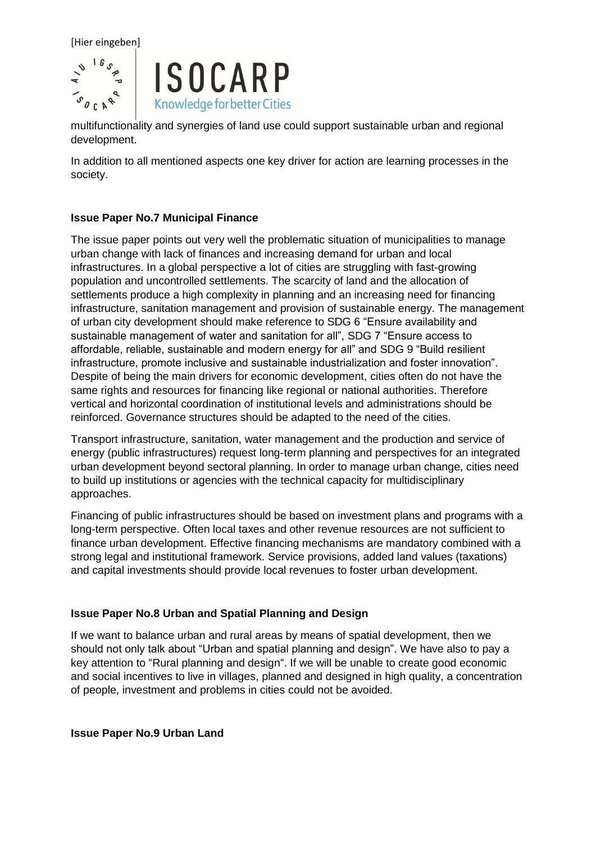

multifunctionality and synergies of land use could support sustainable urban and regional development.

In addition to all mentioned aspects one key driver for action are learning processes in the society.

#### **Issue Paper No.7 Municipal Finance**

The issue paper points out very well the problematic situation of municipalities to manage urban change with lack of finances and increasing demand for urban and local infrastructures. In a global perspective a lot of cities are struggling with fast-growing population and uncontrolled settlements. The scarcity of land and the allocation of settlements produce a high complexity in planning and an increasing need for financing infrastructure, sanitation management and provision of sustainable energy. The management of urban city development should make reference to SDG 6 "Ensure availability and sustainable management of water and sanitation for all", SDG 7 "Ensure access to affordable, reliable, sustainable and modern energy for all" and SDG 9 "Build resilient infrastructure, promote inclusive and sustainable industrialization and foster innovation". Despite of being the main drivers for economic development, cities often do not have the same rights and resources for financing like regional or national authorities. Therefore vertical and horizontal coordination of institutional levels and administrations should be reinforced. Governance structures should be adapted to the need of the cities.

Transport infrastructure, sanitation, water management and the production and service of energy (public infrastructures) request long-term planning and perspectives for an integrated urban development beyond sectoral planning. In order to manage urban change, cities need to build up institutions or agencies with the technical capacity for multidisciplinary approaches.

Financing of public infrastructures should be based on investment plans and programs with a long-term perspective. Often local taxes and other revenue resources are not sufficient to finance urban development. Effective financing mechanisms are mandatory combined with a strong legal and institutional framework. Service provisions, added land values (taxations) and capital investments should provide local revenues to foster urban development.

#### **Issue Paper No.8 Urban and Spatial Planning and Design**

If we want to balance urban and rural areas by means of spatial development, then we should not only talk about "Urban and spatial planning and design". We have also to pay a key attention to "Rural planning and design". If we will be unable to create good economic and social incentives to live in villages, planned and designed in high quality, a concentration of people, investment and problems in cities could not be avoided.

**Issue Paper No.9 Urban Land**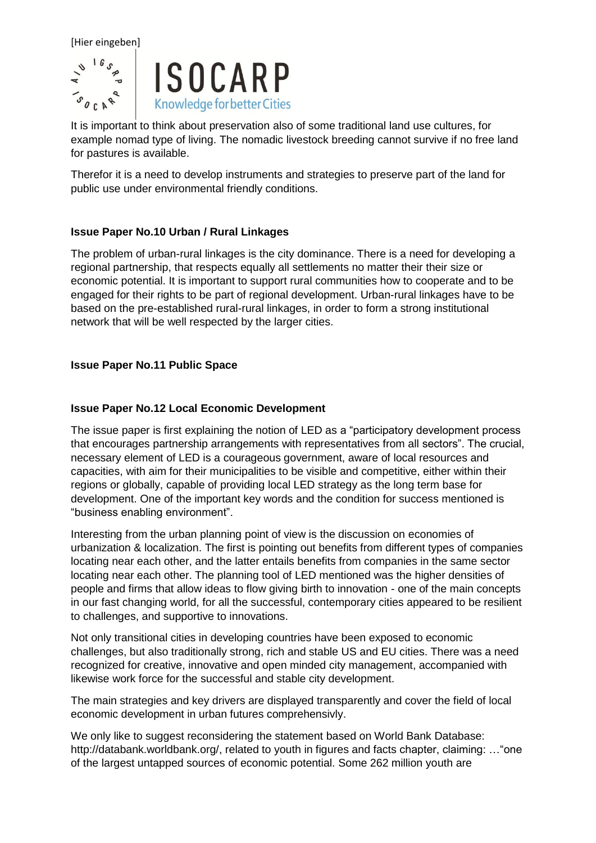

It is important to think about preservation also of some traditional land use cultures, for example nomad type of living. The nomadic livestock breeding cannot survive if no free land for pastures is available.

Therefor it is a need to develop instruments and strategies to preserve part of the land for public use under environmental friendly conditions.

## **Issue Paper No.10 Urban / Rural Linkages**

The problem of urban-rural linkages is the city dominance. There is a need for developing a regional partnership, that respects equally all settlements no matter their their size or economic potential. It is important to support rural communities how to cooperate and to be engaged for their rights to be part of regional development. Urban-rural linkages have to be based on the pre-established rural-rural linkages, in order to form a strong institutional network that will be well respected by the larger cities.

## **Issue Paper No.11 Public Space**

#### **Issue Paper No.12 Local Economic Development**

The issue paper is first explaining the notion of LED as a "participatory development process that encourages partnership arrangements with representatives from all sectors". The crucial, necessary element of LED is a courageous government, aware of local resources and capacities, with aim for their municipalities to be visible and competitive, either within their regions or globally, capable of providing local LED strategy as the long term base for development. One of the important key words and the condition for success mentioned is "business enabling environment".

Interesting from the urban planning point of view is the discussion on economies of urbanization & localization. The first is pointing out benefits from different types of companies locating near each other, and the latter entails benefits from companies in the same sector locating near each other. The planning tool of LED mentioned was the higher densities of people and firms that allow ideas to flow giving birth to innovation - one of the main concepts in our fast changing world, for all the successful, contemporary cities appeared to be resilient to challenges, and supportive to innovations.

Not only transitional cities in developing countries have been exposed to economic challenges, but also traditionally strong, rich and stable US and EU cities. There was a need recognized for creative, innovative and open minded city management, accompanied with likewise work force for the successful and stable city development.

The main strategies and key drivers are displayed transparently and cover the field of local economic development in urban futures comprehensivly.

We only like to suggest reconsidering the statement based on World Bank Database: [http://databank.worldbank.org/,](http://databank.worldbank.org/) related to youth in figures and facts chapter, claiming: …"one of the largest untapped sources of economic potential. Some 262 million youth are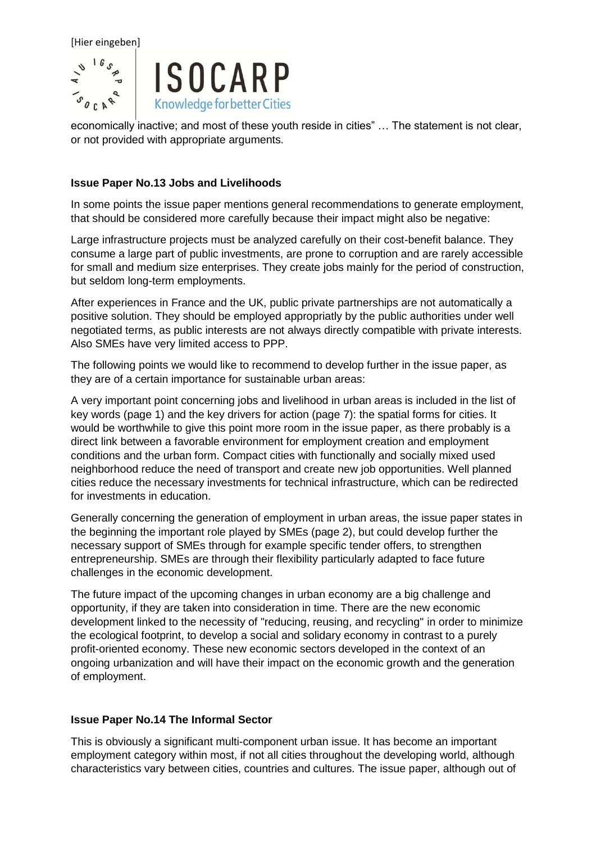

economically inactive; and most of these youth reside in cities" … The statement is not clear, or not provided with appropriate arguments.

#### **Issue Paper No.13 Jobs and Livelihoods**

In some points the issue paper mentions general recommendations to generate employment, that should be considered more carefully because their impact might also be negative:

Large infrastructure projects must be analyzed carefully on their cost-benefit balance. They consume a large part of public investments, are prone to corruption and are rarely accessible for small and medium size enterprises. They create jobs mainly for the period of construction, but seldom long-term employments.

After experiences in France and the UK, public private partnerships are not automatically a positive solution. They should be employed appropriatly by the public authorities under well negotiated terms, as public interests are not always directly compatible with private interests. Also SMEs have very limited access to PPP.

The following points we would like to recommend to develop further in the issue paper, as they are of a certain importance for sustainable urban areas:

A very important point concerning jobs and livelihood in urban areas is included in the list of key words (page 1) and the key drivers for action (page 7): the spatial forms for cities. It would be worthwhile to give this point more room in the issue paper, as there probably is a direct link between a favorable environment for employment creation and employment conditions and the urban form. Compact cities with functionally and socially mixed used neighborhood reduce the need of transport and create new job opportunities. Well planned cities reduce the necessary investments for technical infrastructure, which can be redirected for investments in education.

Generally concerning the generation of employment in urban areas, the issue paper states in the beginning the important role played by SMEs (page 2), but could develop further the necessary support of SMEs through for example specific tender offers, to strengthen entrepreneurship. SMEs are through their flexibility particularly adapted to face future challenges in the economic development.

The future impact of the upcoming changes in urban economy are a big challenge and opportunity, if they are taken into consideration in time. There are the new economic development linked to the necessity of "reducing, reusing, and recycling" in order to minimize the ecological footprint, to develop a social and solidary economy in contrast to a purely profit-oriented economy. These new economic sectors developed in the context of an ongoing urbanization and will have their impact on the economic growth and the generation of employment.

#### **Issue Paper No.14 The Informal Sector**

This is obviously a significant multi-component urban issue. It has become an important employment category within most, if not all cities throughout the developing world, although characteristics vary between cities, countries and cultures. The issue paper, although out of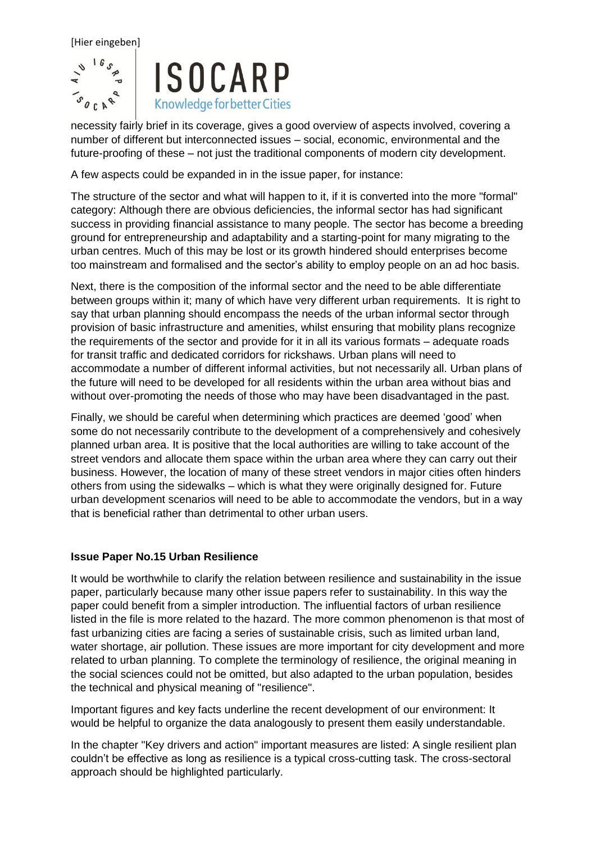

necessity fairly brief in its coverage, gives a good overview of aspects involved, covering a number of different but interconnected issues – social, economic, environmental and the future-proofing of these – not just the traditional components of modern city development.

A few aspects could be expanded in in the issue paper, for instance:

The structure of the sector and what will happen to it, if it is converted into the more "formal" category: Although there are obvious deficiencies, the informal sector has had significant success in providing financial assistance to many people. The sector has become a breeding ground for entrepreneurship and adaptability and a starting-point for many migrating to the urban centres. Much of this may be lost or its growth hindered should enterprises become too mainstream and formalised and the sector's ability to employ people on an ad hoc basis.

Next, there is the composition of the informal sector and the need to be able differentiate between groups within it; many of which have very different urban requirements. It is right to say that urban planning should encompass the needs of the urban informal sector through provision of basic infrastructure and amenities, whilst ensuring that mobility plans recognize the requirements of the sector and provide for it in all its various formats – adequate roads for transit traffic and dedicated corridors for rickshaws. Urban plans will need to accommodate a number of different informal activities, but not necessarily all. Urban plans of the future will need to be developed for all residents within the urban area without bias and without over-promoting the needs of those who may have been disadvantaged in the past.

Finally, we should be careful when determining which practices are deemed 'good' when some do not necessarily contribute to the development of a comprehensively and cohesively planned urban area. It is positive that the local authorities are willing to take account of the street vendors and allocate them space within the urban area where they can carry out their business. However, the location of many of these street vendors in major cities often hinders others from using the sidewalks – which is what they were originally designed for. Future urban development scenarios will need to be able to accommodate the vendors, but in a way that is beneficial rather than detrimental to other urban users.

#### **Issue Paper No.15 Urban Resilience**

It would be worthwhile to clarify the relation between resilience and sustainability in the issue paper, particularly because many other issue papers refer to sustainability. In this way the paper could benefit from a simpler introduction. The influential factors of urban resilience listed in the file is more related to the hazard. The more common phenomenon is that most of fast urbanizing cities are facing a series of sustainable crisis, such as limited urban land, water shortage, air pollution. These issues are more important for city development and more related to urban planning. To complete the terminology of resilience, the original meaning in the social sciences could not be omitted, but also adapted to the urban population, besides the technical and physical meaning of "resilience".

Important figures and key facts underline the recent development of our environment: It would be helpful to organize the data analogously to present them easily understandable.

In the chapter "Key drivers and action" important measures are listed: A single resilient plan couldn't be effective as long as resilience is a typical cross-cutting task. The cross-sectoral approach should be highlighted particularly.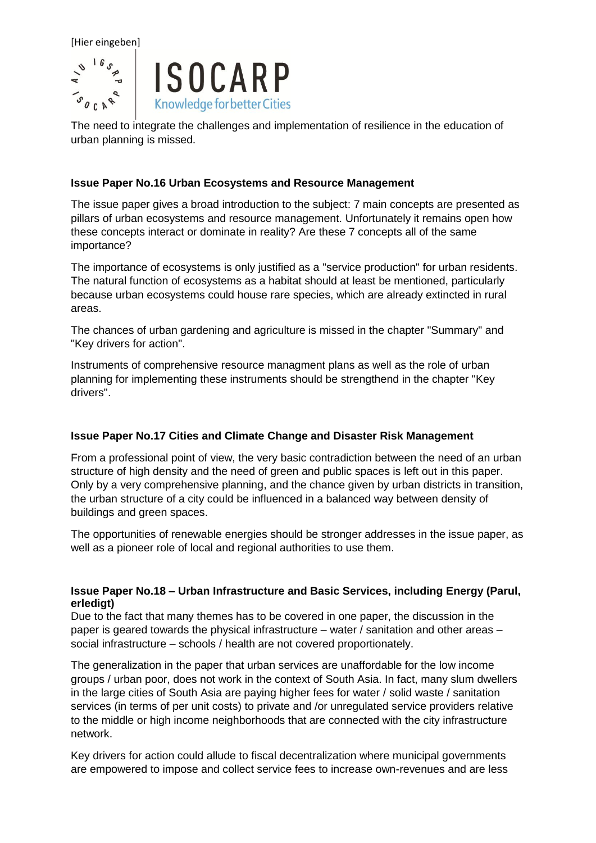

The need to integrate the challenges and implementation of resilience in the education of urban planning is missed.

#### **Issue Paper No.16 Urban Ecosystems and Resource Management**

The issue paper gives a broad introduction to the subject: 7 main concepts are presented as pillars of urban ecosystems and resource management. Unfortunately it remains open how these concepts interact or dominate in reality? Are these 7 concepts all of the same importance?

The importance of ecosystems is only justified as a "service production" for urban residents. The natural function of ecosystems as a habitat should at least be mentioned, particularly because urban ecosystems could house rare species, which are already extincted in rural areas.

The chances of urban gardening and agriculture is missed in the chapter "Summary" and "Key drivers for action".

Instruments of comprehensive resource managment plans as well as the role of urban planning for implementing these instruments should be strengthend in the chapter "Key drivers".

#### **Issue Paper No.17 Cities and Climate Change and Disaster Risk Management**

From a professional point of view, the very basic contradiction between the need of an urban structure of high density and the need of green and public spaces is left out in this paper. Only by a very comprehensive planning, and the chance given by urban districts in transition, the urban structure of a city could be influenced in a balanced way between density of buildings and green spaces.

The opportunities of renewable energies should be stronger addresses in the issue paper, as well as a pioneer role of local and regional authorities to use them.

#### **Issue Paper No.18 – Urban Infrastructure and Basic Services, including Energy (Parul, erledigt)**

Due to the fact that many themes has to be covered in one paper, the discussion in the paper is geared towards the physical infrastructure – water / sanitation and other areas – social infrastructure – schools / health are not covered proportionately.

The generalization in the paper that urban services are unaffordable for the low income groups / urban poor, does not work in the context of South Asia. In fact, many slum dwellers in the large cities of South Asia are paying higher fees for water / solid waste / sanitation services (in terms of per unit costs) to private and /or unregulated service providers relative to the middle or high income neighborhoods that are connected with the city infrastructure network.

Key drivers for action could allude to fiscal decentralization where municipal governments are empowered to impose and collect service fees to increase own-revenues and are less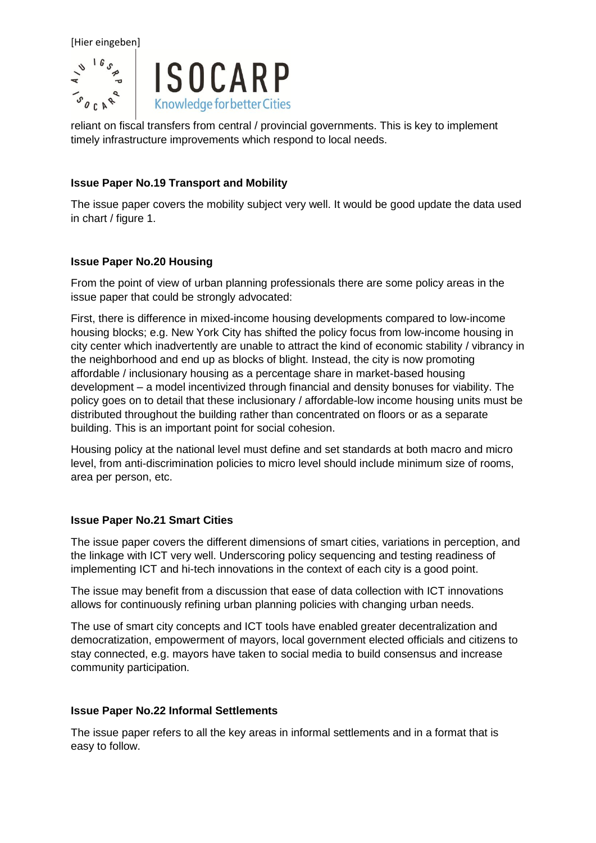

reliant on fiscal transfers from central / provincial governments. This is key to implement timely infrastructure improvements which respond to local needs.

### **Issue Paper No.19 Transport and Mobility**

The issue paper covers the mobility subject very well. It would be good update the data used in chart / figure 1.

## **Issue Paper No.20 Housing**

From the point of view of urban planning professionals there are some policy areas in the issue paper that could be strongly advocated:

First, there is difference in mixed-income housing developments compared to low-income housing blocks; e.g. New York City has shifted the policy focus from low-income housing in city center which inadvertently are unable to attract the kind of economic stability / vibrancy in the neighborhood and end up as blocks of blight. Instead, the city is now promoting affordable / inclusionary housing as a percentage share in market-based housing development – a model incentivized through financial and density bonuses for viability. The policy goes on to detail that these inclusionary / affordable-low income housing units must be distributed throughout the building rather than concentrated on floors or as a separate building. This is an important point for social cohesion.

Housing policy at the national level must define and set standards at both macro and micro level, from anti-discrimination policies to micro level should include minimum size of rooms, area per person, etc.

#### **Issue Paper No.21 Smart Cities**

The issue paper covers the different dimensions of smart cities, variations in perception, and the linkage with ICT very well. Underscoring policy sequencing and testing readiness of implementing ICT and hi-tech innovations in the context of each city is a good point.

The issue may benefit from a discussion that ease of data collection with ICT innovations allows for continuously refining urban planning policies with changing urban needs.

The use of smart city concepts and ICT tools have enabled greater decentralization and democratization, empowerment of mayors, local government elected officials and citizens to stay connected, e.g. mayors have taken to social media to build consensus and increase community participation.

#### **Issue Paper No.22 Informal Settlements**

The issue paper refers to all the key areas in informal settlements and in a format that is easy to follow.